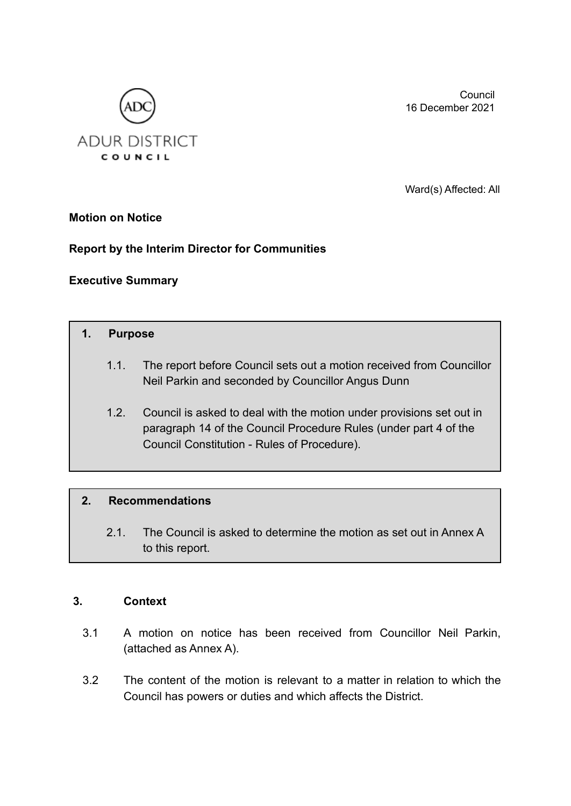Council 16 December 2021



Ward(s) Affected: All

#### **Motion on Notice**

## **Report by the Interim Director for Communities**

## **Executive Summary**

#### **1. Purpose**

- 1.1. The report before Council sets out a motion received from Councillor Neil Parkin and seconded by Councillor Angus Dunn
- 1.2. Council is asked to deal with the motion under provisions set out in paragraph 14 of the Council Procedure Rules (under part 4 of the Council Constitution - Rules of Procedure).

#### **2. Recommendations**

2.1. The Council is asked to determine the motion as set out in Annex A to this report.

#### **3. Context**

- 3.1 A motion on notice has been received from Councillor Neil Parkin, (attached as Annex A).
- 3.2 The content of the motion is relevant to a matter in relation to which the Council has powers or duties and which affects the District.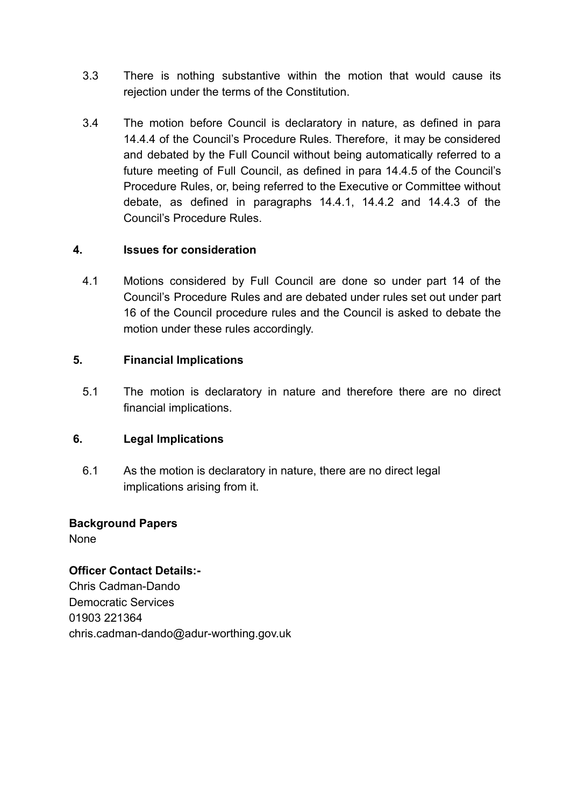- 3.3 There is nothing substantive within the motion that would cause its rejection under the terms of the Constitution.
- 3.4 The motion before Council is declaratory in nature, as defined in para 14.4.4 of the Council's Procedure Rules. Therefore, it may be considered and debated by the Full Council without being automatically referred to a future meeting of Full Council, as defined in para 14.4.5 of the Council's Procedure Rules, or, being referred to the Executive or Committee without debate, as defined in paragraphs 14.4.1, 14.4.2 and 14.4.3 of the Council's Procedure Rules.

## **4. Issues for consideration**

4.1 Motions considered by Full Council are done so under part 14 of the Council's Procedure Rules and are debated under rules set out under part 16 of the Council procedure rules and the Council is asked to debate the motion under these rules accordingly.

## **5. Financial Implications**

5.1 The motion is declaratory in nature and therefore there are no direct financial implications.

# **6. Legal Implications**

6.1 As the motion is declaratory in nature, there are no direct legal implications arising from it.

## **Background Papers**

None

# **Officer Contact Details:-**

Chris Cadman-Dando Democratic Services 01903 221364 chris.cadman-dando@adur-worthing.gov.uk